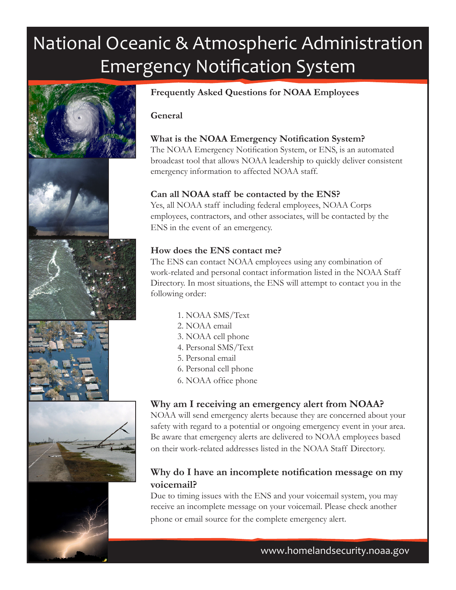# National Oceanic & Atmospheric Administration Emergency Notification System













# **Frequently Asked Questions for NOAA Employees**

#### **General**

## **What is the NOAA Emergency Notification System?**

The NOAA Emergency Notification System, or ENS, is an automated broadcast tool that allows NOAA leadership to quickly deliver consistent emergency information to affected NOAA staff.

#### **Can all NOAA staff be contacted by the ENS?**

Yes, all NOAA staff including federal employees, NOAA Corps employees, contractors, and other associates, will be contacted by the ENS in the event of an emergency.

## **How does the ENS contact me?**

The ENS can contact NOAA employees using any combination of work-related and personal contact information listed in the NOAA Staff Directory. In most situations, the ENS will attempt to contact you in the following order:

- 1. NOAA SMS/Text
- 2. NOAA email
- 3. NOAA cell phone
- 4. Personal SMS/Text
- 5. Personal email
- 6. Personal cell phone
- 6. NOAA office phone

# **Why am I receiving an emergency alert from NOAA?**

NOAA will send emergency alerts because they are concerned about your safety with regard to a potential or ongoing emergency event in your area. Be aware that emergency alerts are delivered to NOAA employees based on their work-related addresses listed in the NOAA Staff Directory.

# **Why do I have an incomplete notification message on my voicemail?**

Due to timing issues with the ENS and your voicemail system, you may receive an incomplete message on your voicemail. Please check another phone or email source for the complete emergency alert.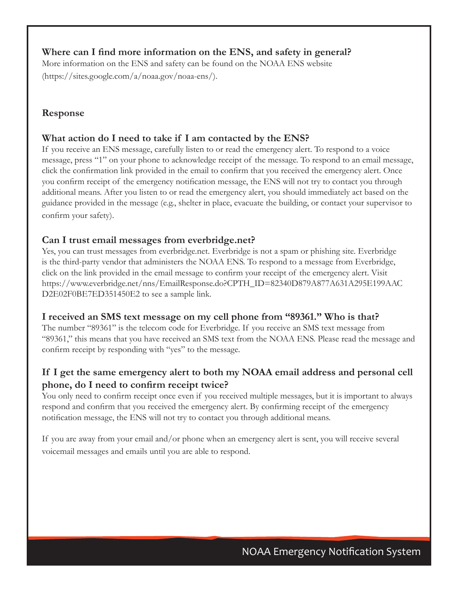## **Where can I find more information on the ENS, and safety in general?**

More information on the ENS and safety can be found on the NOAA ENS website (https://sites.google.com/a/noaa.gov/noaa-ens/).

## **Response**

## **What action do I need to take if I am contacted by the ENS?**

If you receive an ENS message, carefully listen to or read the emergency alert. To respond to a voice message, press "1" on your phone to acknowledge receipt of the message. To respond to an email message, click the confirmation link provided in the email to confirm that you received the emergency alert. Once you confirm receipt of the emergency notification message, the ENS will not try to contact you through additional means. After you listen to or read the emergency alert, you should immediately act based on the guidance provided in the message (e.g., shelter in place, evacuate the building, or contact your supervisor to confirm your safety).

## **Can I trust email messages from everbridge.net?**

Yes, you can trust messages from everbridge.net. Everbridge is not a spam or phishing site. Everbridge is the third-party vendor that administers the NOAA ENS. To respond to a message from Everbridge, click on the link provided in the email message to confirm your receipt of the emergency alert. Visit https://www.everbridge.net/nns/EmailResponse.do?CPTH\_ID=82340D879A877A631A295E199AAC D2E02F0BE7ED351450E2 to see a sample link.

#### **I received an SMS text message on my cell phone from "89361." Who is that?**

The number "89361" is the telecom code for Everbridge. If you receive an SMS text message from "89361," this means that you have received an SMS text from the NOAA ENS. Please read the message and confirm receipt by responding with "yes" to the message.

# **If I get the same emergency alert to both my NOAA email address and personal cell phone, do I need to confirm receipt twice?**

You only need to confirm receipt once even if you received multiple messages, but it is important to always respond and confirm that you received the emergency alert. By confirming receipt of the emergency notification message, the ENS will not try to contact you through additional means.

If you are away from your email and/or phone when an emergency alert is sent, you will receive several voicemail messages and emails until you are able to respond.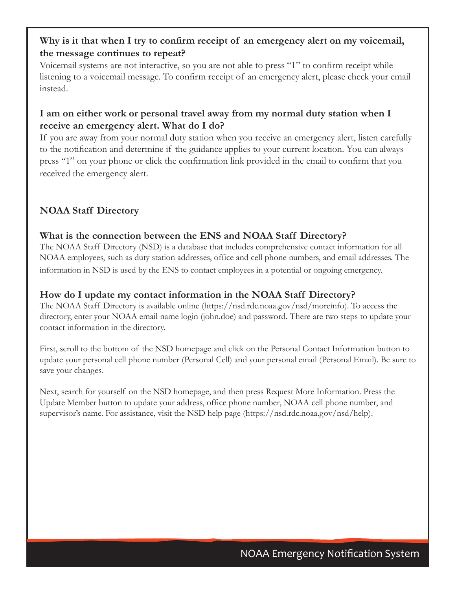# **Why is it that when I try to confirm receipt of an emergency alert on my voicemail, the message continues to repeat?**

Voicemail systems are not interactive, so you are not able to press "1" to confirm receipt while listening to a voicemail message. To confirm receipt of an emergency alert, please check your email instead.

# **I am on either work or personal travel away from my normal duty station when I receive an emergency alert. What do I do?**

If you are away from your normal duty station when you receive an emergency alert, listen carefully to the notification and determine if the guidance applies to your current location. You can always press "1" on your phone or click the confirmation link provided in the email to confirm that you received the emergency alert.

# **NOAA Staff Directory**

# **What is the connection between the ENS and NOAA Staff Directory?**

The NOAA Staff Directory (NSD) is a database that includes comprehensive contact information for all NOAA employees, such as duty station addresses, office and cell phone numbers, and email addresses. The information in NSD is used by the ENS to contact employees in a potential or ongoing emergency.

# **How do I update my contact information in the NOAA Staff Directory?**

The NOAA Staff Directory is available online (https://nsd.rdc.noaa.gov/nsd/moreinfo). To access the directory, enter your NOAA email name login (john.doe) and password. There are two steps to update your contact information in the directory.

First, scroll to the bottom of the NSD homepage and click on the Personal Contact Information button to update your personal cell phone number (Personal Cell) and your personal email (Personal Email). Be sure to save your changes.

Next, search for yourself on the NSD homepage, and then press Request More Information. Press the Update Member button to update your address, office phone number, NOAA cell phone number, and supervisor's name. For assistance, visit the NSD help page (https://nsd.rdc.noaa.gov/nsd/help).